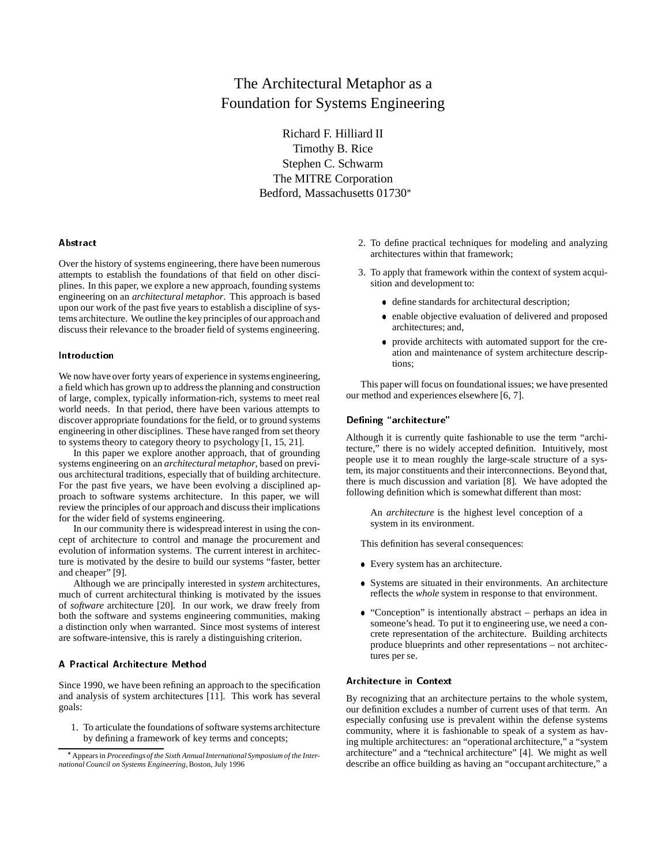# The Architectural Metaphor as a Foundation for Systems Engineering

Richard F. Hilliard II Timothy B. Rice Stephen C. Schwarm The MITRE Corporation Bedford, Massachusetts 01730

## Abstract

Over the history of systems engineering, there have been numerous attempts to establish the foundations of that field on other disciplines. In this paper, we explore a new approach, founding systems engineering on an *architectural metaphor*. This approach is based upon our work of the past five years to establish a discipline of systems architecture. We outline the key principles of our approachand discuss their relevance to the broader field of systems engineering.

# Introduction

We now have over forty years of experience in systems engineering, a field which has grown up to address the planning and construction of large, complex, typically information-rich, systems to meet real world needs. In that period, there have been various attempts to discover appropriate foundations for the field, or to ground systems engineering in other disciplines. These have ranged from set theory to systems theory to category theory to psychology [1, 15, 21].

In this paper we explore another approach, that of grounding systems engineering on an *architectural metaphor*, based on previous architectural traditions, especially that of building architecture. For the past five years, we have been evolving a disciplined approach to software systems architecture. In this paper, we will review the principles of our approach and discuss their implications for the wider field of systems engineering.

In our community there is widespread interest in using the concept of architecture to control and manage the procurement and evolution of information systems. The current interest in architecture is motivated by the desire to build our systems "faster, better and cheaper" [9].

Although we are principally interested in *system* architectures, much of current architectural thinking is motivated by the issues of *software* architecture [20]. In our work, we draw freely from both the software and systems engineering communities, making a distinction only when warranted. Since most systems of interest are software-intensive, this is rarely a distinguishing criterion.

## A Practical Architecture Method

Since 1990, we have been refining an approach to the specification and analysis of system architectures [11]. This work has several goals:

1. To articulate the foundations of software systems architecture by defining a framework of key terms and concepts;

- 2. To define practical techniques for modeling and analyzing architectures within that framework;
- 3. To apply that framework within the context of system acquisition and development to:
	- define standards for architectural description;
	- enable objective evaluation of delivered and proposed architectures; and,
	- provide architects with automated support for the creation and maintenance of system architecture descriptions;

This paper will focus on foundational issues; we have presented our method and experiences elsewhere [6, 7].

## Defining "architecture"

Although it is currently quite fashionable to use the term "architecture," there is no widely accepted definition. Intuitively, most people use it to mean roughly the large-scale structure of a system, its major constituents and their interconnections. Beyond that, there is much discussion and variation [8]. We have adopted the following definition which is somewhat different than most:

An *architecture* is the highest level conception of a system in its environment.

This definition has several consequences:

- Every system has an architecture.
- Systems are situated in their environments. An architecture reflects the *whole* system in response to that environment.
- "Conception" is intentionally abstract perhaps an idea in someone's head. To put it to engineering use, we need a concrete representation of the architecture. Building architects produce blueprints and other representations – not architectures per se.

## Architecture in Context

By recognizing that an architecture pertains to the whole system, our definition excludes a number of current uses of that term. An especially confusing use is prevalent within the defense systems community, where it is fashionable to speak of a system as having multiple architectures: an "operational architecture," a "system architecture" and a "technical architecture" [4]. We might as well describe an office building as having an "occupant architecture," a

Appears in *Proceedings of the Sixth Annual International Symposium of the International Council on Systems Engineering*, Boston, July 1996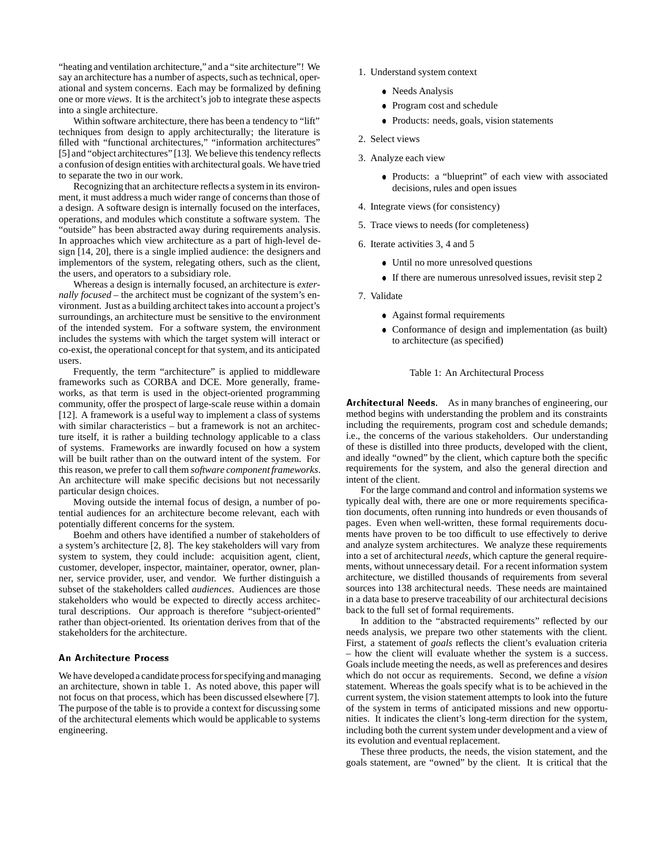"heating and ventilation architecture," and a "site architecture"! We say an architecture has a number of aspects, such as technical, operational and system concerns. Each may be formalized by defining one or more *views*. It is the architect's job to integrate these aspects into a single architecture.

Within software architecture, there has been a tendency to "lift" techniques from design to apply architecturally; the literature is filled with "functional architectures," "information architectures" [5] and "object architectures" [13]. We believe this tendency reflects a confusion of design entities with architectural goals. We have tried to separate the two in our work.

Recognizing that an architecture reflects a system in its environment, it must address a much wider range of concerns than those of a design. A software design is internally focused on the interfaces, operations, and modules which constitute a software system. The "outside" has been abstracted away during requirements analysis. In approaches which view architecture as a part of high-level design [14, 20], there is a single implied audience: the designers and implementors of the system, relegating others, such as the client, the users, and operators to a subsidiary role.

Whereas a design is internally focused, an architecture is *externally focused* – the architect must be cognizant of the system's environment. Just as a building architect takes into account a project's surroundings, an architecture must be sensitive to the environment of the intended system. For a software system, the environment includes the systems with which the target system will interact or co-exist, the operational concept for that system, and its anticipated users.

Frequently, the term "architecture" is applied to middleware frameworks such as CORBA and DCE. More generally, frameworks, as that term is used in the object-oriented programming community, offer the prospect of large-scale reuse within a domain [12]. A framework is a useful way to implement a class of systems with similar characteristics – but a framework is not an architecture itself, it is rather a building technology applicable to a class of systems. Frameworks are inwardly focused on how a system will be built rather than on the outward intent of the system. For this reason, we prefer to call them *software component frameworks*. An architecture will make specific decisions but not necessarily particular design choices.

Moving outside the internal focus of design, a number of potential audiences for an architecture become relevant, each with potentially different concerns for the system.

Boehm and others have identified a number of stakeholders of a system's architecture [2, 8]. The key stakeholders will vary from system to system, they could include: acquisition agent, client, customer, developer, inspector, maintainer, operator, owner, planner, service provider, user, and vendor. We further distinguish a subset of the stakeholders called *audiences*. Audiences are those stakeholders who would be expected to directly access architectural descriptions. Our approach is therefore "subject-oriented" rather than object-oriented. Its orientation derives from that of the stakeholders for the architecture.

## An Architecture Process

We have developed a candidate process for specifying and managing an architecture, shown in table 1. As noted above, this paper will not focus on that process, which has been discussed elsewhere [7]. The purpose of the table is to provide a context for discussing some of the architectural elements which would be applicable to systems engineering.

- 1. Understand system context
	- Needs Analysis
	- Program cost and schedule
	- Products: needs, goals, vision statements
- 2. Select views
- 3. Analyze each view
	- Products: a "blueprint" of each view with associated decisions, rules and open issues
- 4. Integrate views (for consistency)
- 5. Trace views to needs (for completeness)
- 6. Iterate activities 3, 4 and 5
	- Until no more unresolved questions
	- If there are numerous unresolved issues, revisit step 2
- 7. Validate
	- Against formal requirements
	- Conformance of design and implementation (as built) to architecture (as specified)

# Table 1: An Architectural Process

Architectural Needs. As in many branches of engineering, our method begins with understanding the problem and its constraints including the requirements, program cost and schedule demands; i.e., the concerns of the various stakeholders. Our understanding of these is distilled into three products, developed with the client, and ideally "owned" by the client, which capture both the specific requirements for the system, and also the general direction and intent of the client.

For the large command and control and information systems we typically deal with, there are one or more requirements specification documents, often running into hundreds or even thousands of pages. Even when well-written, these formal requirements documents have proven to be too difficult to use effectively to derive and analyze system architectures. We analyze these requirements into a set of architectural *needs*, which capture the general requirements, without unnecessary detail. For a recent information system architecture, we distilled thousands of requirements from several sources into 138 architectural needs. These needs are maintained in a data base to preserve traceability of our architectural decisions back to the full set of formal requirements.

In addition to the "abstracted requirements" reflected by our needs analysis, we prepare two other statements with the client. First, a statement of *goals* reflects the client's evaluation criteria – how the client will evaluate whether the system is a success. Goals include meeting the needs, as well as preferences and desires which do not occur as requirements. Second, we define a *vision* statement. Whereas the goals specify what is to be achieved in the current system, the vision statement attempts to look into the future of the system in terms of anticipated missions and new opportunities. It indicates the client's long-term direction for the system, including both the current system under development and a view of its evolution and eventual replacement.

These three products, the needs, the vision statement, and the goals statement, are "owned" by the client. It is critical that the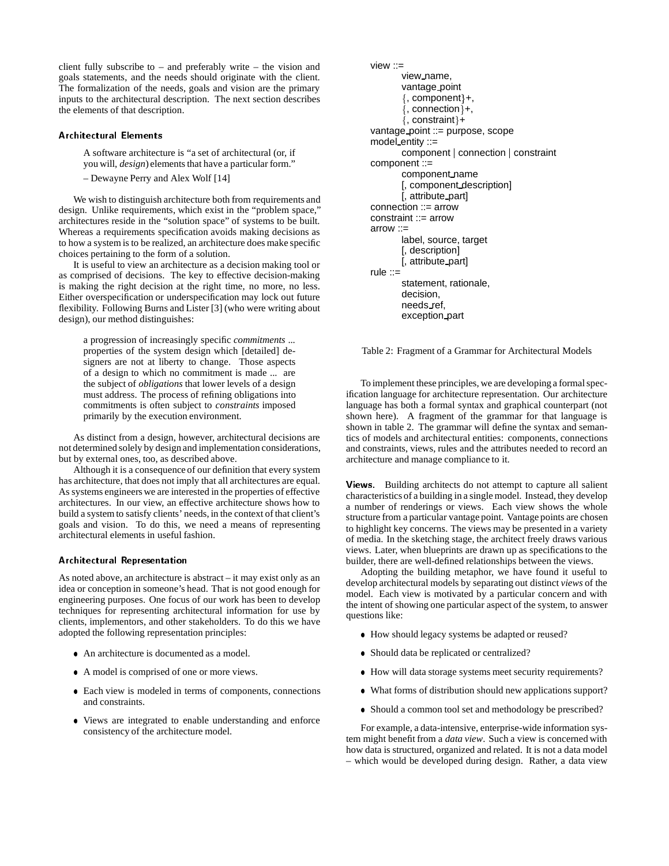client fully subscribe to – and preferably write – the vision and goals statements, and the needs should originate with the client. The formalization of the needs, goals and vision are the primary inputs to the architectural description. The next section describes the elements of that description.

## Architectural Elements

A software architecture is "a set of architectural (or, if you will, *design*) elements that have a particular form."

– Dewayne Perry and Alex Wolf [14]

We wish to distinguish architecture both from requirements and design. Unlike requirements, which exist in the "problem space," architectures reside in the "solution space" of systems to be built. Whereas a requirements specification avoids making decisions as to how a system is to be realized, an architecture does make specific choices pertaining to the form of a solution.

It is useful to view an architecture as a decision making tool or as comprised of decisions. The key to effective decision-making is making the right decision at the right time, no more, no less. Either overspecification or underspecification may lock out future flexibility. Following Burns and Lister [3] (who were writing about design), our method distinguishes:

a progression of increasingly specific *commitments* ... properties of the system design which [detailed] designers are not at liberty to change. Those aspects of a design to which no commitment is made ... are the subject of *obligations* that lower levels of a design must address. The process of refining obligations into commitments is often subject to *constraints* imposed primarily by the execution environment.

As distinct from a design, however, architectural decisions are not determined solely by design and implementation considerations, but by external ones, too, as described above.

Although it is a consequence of our definition that every system has architecture, that does not imply that all architectures are equal. As systems engineers we are interested in the properties of effective architectures. In our view, an effective architecture shows how to build a system to satisfy clients' needs, in the context of that client's goals and vision. To do this, we need a means of representing architectural elements in useful fashion.

## Architectural Representation

As noted above, an architecture is abstract – it may exist only as an idea or conception in someone's head. That is not good enough for engineering purposes. One focus of our work has been to develop techniques for representing architectural information for use by clients, implementors, and other stakeholders. To do this we have adopted the following representation principles:

- An architecture is documented as a model.
- A model is comprised of one or more views.
- Each view is modeled in terms of components, connections and constraints.
- Views are integrated to enable understanding and enforce consistency of the architecture model.

```
view ::=
       view name,
       vantage point
       \{, component\}+,
       \{, connection\}+,
       \{, constraint\}+vantage point ::= purpose, scope
model entity ::=
       component | connection | constraint
component ::=
       component name
       [, component description]
       [, attribute part]
connection ::= arrow
constraint ::= arrow
arrow :: =label, source, target
       [, description]
       [, attribute part]
rule \equivstatement, rationale,
       decision,
       needs ref,
       exception part
```
Table 2: Fragment of a Grammar for Architectural Models

To implement these principles, we are developing a formal specification language for architecture representation. Our architecture language has both a formal syntax and graphical counterpart (not shown here). A fragment of the grammar for that language is shown in table 2. The grammar will define the syntax and semantics of models and architectural entities: components, connections and constraints, views, rules and the attributes needed to record an architecture and manage compliance to it.

Views. Building architects do not attempt to capture all salient characteristics of a building in a single model. Instead, they develop a number of renderings or views. Each view shows the whole structure from a particular vantage point. Vantage points are chosen to highlight key concerns. The views may be presented in a variety of media. In the sketching stage, the architect freely draws various views. Later, when blueprints are drawn up as specifications to the builder, there are well-defined relationships between the views.

Adopting the building metaphor, we have found it useful to develop architectural models by separating out distinct *views* of the model. Each view is motivated by a particular concern and with the intent of showing one particular aspect of the system, to answer questions like:

- How should legacy systems be adapted or reused?
- Should data be replicated or centralized?
- How will data storage systems meet security requirements?
- What forms of distribution should new applications support?
- Should a common tool set and methodology be prescribed?

For example, a data-intensive, enterprise-wide information system might benefit from a *data view*. Such a view is concerned with how data is structured, organized and related. It is not a data model – which would be developed during design. Rather, a data view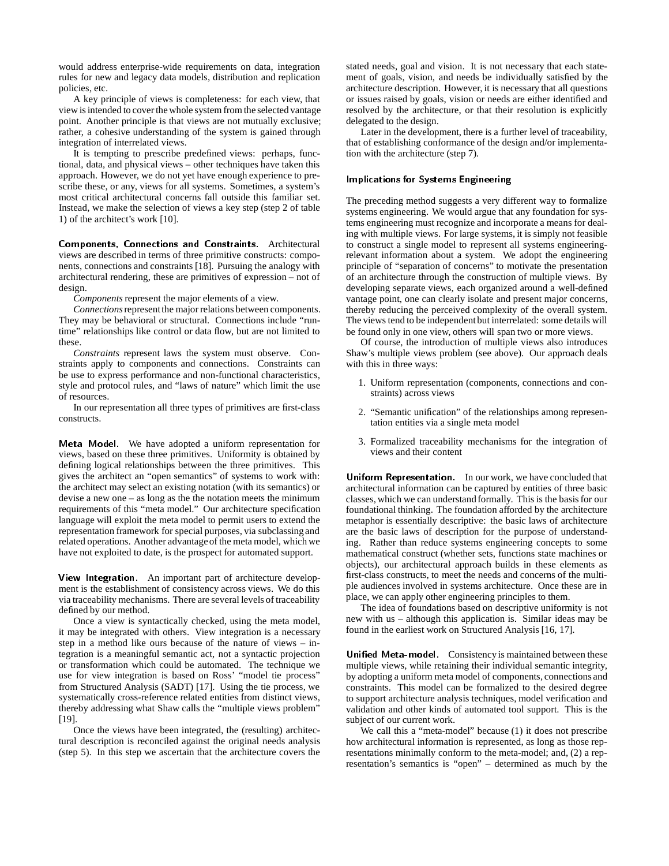would address enterprise-wide requirements on data, integration rules for new and legacy data models, distribution and replication policies, etc.

A key principle of views is completeness: for each view, that view is intended to cover the whole system from the selected vantage point. Another principle is that views are not mutually exclusive; rather, a cohesive understanding of the system is gained through integration of interrelated views.

It is tempting to prescribe predefined views: perhaps, functional, data, and physical views – other techniques have taken this approach. However, we do not yet have enough experience to prescribe these, or any, views for all systems. Sometimes, a system's most critical architectural concerns fall outside this familiar set. Instead, we make the selection of views a key step (step 2 of table 1) of the architect's work [10].

Components, Connections and Constraints. Architectural views are described in terms of three primitive constructs: components, connections and constraints [18]. Pursuing the analogy with architectural rendering, these are primitives of expression – not of design.

*Components* represent the major elements of a view.

*Connections* represent the major relations between components. They may be behavioral or structural. Connections include "runtime" relationships like control or data flow, but are not limited to these.

*Constraints* represent laws the system must observe. Constraints apply to components and connections. Constraints can be use to express performance and non-functional characteristics, style and protocol rules, and "laws of nature" which limit the use of resources.

In our representation all three types of primitives are first-class constructs.

Meta Model. We have adopted a uniform representation for views, based on these three primitives. Uniformity is obtained by defining logical relationships between the three primitives. This gives the architect an "open semantics" of systems to work with: the architect may select an existing notation (with its semantics) or devise a new one – as long as the the notation meets the minimum requirements of this "meta model." Our architecture specification language will exploit the meta model to permit users to extend the representation framework for special purposes, via subclassing and related operations. Another advantageof the meta model, which we have not exploited to date, is the prospect for automated support.

View Integration. An important part of architecture development is the establishment of consistency across views. We do this via traceability mechanisms. There are several levels of traceability defined by our method.

Once a view is syntactically checked, using the meta model, it may be integrated with others. View integration is a necessary step in a method like ours because of the nature of views – integration is a meaningful semantic act, not a syntactic projection or transformation which could be automated. The technique we use for view integration is based on Ross' "model tie process" from Structured Analysis (SADT) [17]. Using the tie process, we systematically cross-reference related entities from distinct views, thereby addressing what Shaw calls the "multiple views problem" [19].

Once the views have been integrated, the (resulting) architectural description is reconciled against the original needs analysis (step 5). In this step we ascertain that the architecture covers the stated needs, goal and vision. It is not necessary that each statement of goals, vision, and needs be individually satisfied by the architecture description. However, it is necessary that all questions or issues raised by goals, vision or needs are either identified and resolved by the architecture, or that their resolution is explicitly delegated to the design.

Later in the development, there is a further level of traceability, that of establishing conformance of the design and/or implementation with the architecture (step 7).

# Implications for Systems Engineering

The preceding method suggests a very different way to formalize systems engineering. We would argue that any foundation for systems engineering must recognize and incorporate a means for dealing with multiple views. For large systems, it is simply not feasible to construct a single model to represent all systems engineeringrelevant information about a system. We adopt the engineering principle of "separation of concerns" to motivate the presentation of an architecture through the construction of multiple views. By developing separate views, each organized around a well-defined vantage point, one can clearly isolate and present major concerns, thereby reducing the perceived complexity of the overall system. The views tend to be independentbut interrelated: some details will be found only in one view, others will span two or more views.

Of course, the introduction of multiple views also introduces Shaw's multiple views problem (see above). Our approach deals with this in three ways:

- 1. Uniform representation (components, connections and constraints) across views
- 2. "Semantic unification" of the relationships among representation entities via a single meta model
- 3. Formalized traceability mechanisms for the integration of views and their content

Uniform Representation. In our work, we have concluded that architectural information can be captured by entities of three basic classes, which we can understand formally. This is the basis for our foundational thinking. The foundation afforded by the architecture metaphor is essentially descriptive: the basic laws of architecture are the basic laws of description for the purpose of understanding. Rather than reduce systems engineering concepts to some mathematical construct (whether sets, functions state machines or objects), our architectural approach builds in these elements as first-class constructs, to meet the needs and concerns of the multiple audiences involved in systems architecture. Once these are in place, we can apply other engineering principles to them.

The idea of foundations based on descriptive uniformity is not new with us – although this application is. Similar ideas may be found in the earliest work on Structured Analysis [16, 17].

Unified Meta-model. Consistency is maintained between these multiple views, while retaining their individual semantic integrity, by adopting a uniform meta model of components, connections and constraints. This model can be formalized to the desired degree to support architecture analysis techniques, model verification and validation and other kinds of automated tool support. This is the subject of our current work.

We call this a "meta-model" because (1) it does not prescribe how architectural information is represented, as long as those representations minimally conform to the meta-model; and, (2) a representation's semantics is "open" – determined as much by the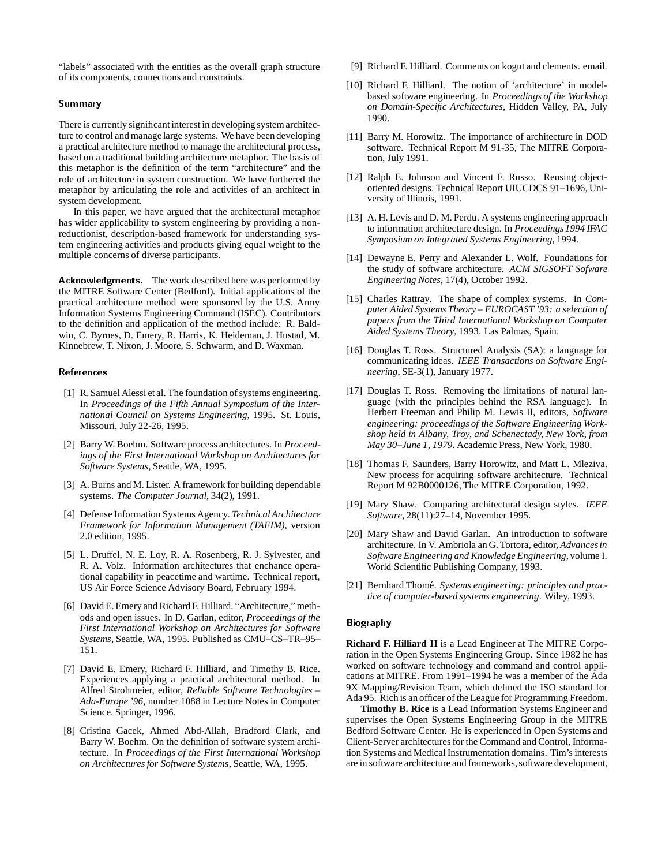"labels" associated with the entities as the overall graph structure of its components, connections and constraints.

## Summary

There is currently significant interest in developing system architecture to control and manage large systems. We have been developing a practical architecture method to manage the architectural process, based on a traditional building architecture metaphor. The basis of this metaphor is the definition of the term "architecture" and the role of architecture in system construction. We have furthered the metaphor by articulating the role and activities of an architect in system development.

In this paper, we have argued that the architectural metaphor has wider applicability to system engineering by providing a nonreductionist, description-based framework for understanding system engineering activities and products giving equal weight to the multiple concerns of diverse participants.

Acknowledgments. The work described here was performed by the MITRE Software Center (Bedford). Initial applications of the practical architecture method were sponsored by the U.S. Army Information Systems Engineering Command (ISEC). Contributors to the definition and application of the method include: R. Baldwin, C. Byrnes, D. Emery, R. Harris, K. Heideman, J. Hustad, M. Kinnebrew, T. Nixon, J. Moore, S. Schwarm, and D. Waxman.

#### References

- [1] R. Samuel Alessi et al. The foundation of systems engineering. In *Proceedings of the Fifth Annual Symposium of the International Council on Systems Engineering*, 1995. St. Louis, Missouri, July 22-26, 1995.
- [2] Barry W. Boehm. Software process architectures. In *Proceedings of the First International Workshop on Architectures for Software Systems*, Seattle, WA, 1995.
- [3] A. Burns and M. Lister. A framework for building dependable systems. *The Computer Journal*, 34(2), 1991.
- [4] Defense Information Systems Agency. *TechnicalArchitecture Framework for Information Management (TAFIM)*, version 2.0 edition, 1995.
- [5] L. Druffel, N. E. Loy, R. A. Rosenberg, R. J. Sylvester, and R. A. Volz. Information architectures that enchance operational capability in peacetime and wartime. Technical report, US Air Force Science Advisory Board, February 1994.
- [6] David E. Emery and Richard F. Hilliard. "Architecture," methods and open issues. In D. Garlan, editor, *Proceedings of the First International Workshop on Architectures for Software Systems*, Seattle, WA, 1995. Published as CMU–CS–TR–95– 151.
- [7] David E. Emery, Richard F. Hilliard, and Timothy B. Rice. Experiences applying a practical architectural method. In Alfred Strohmeier, editor, *Reliable Software Technologies – Ada-Europe '96*, number 1088 in Lecture Notes in Computer Science. Springer, 1996.
- [8] Cristina Gacek, Ahmed Abd-Allah, Bradford Clark, and Barry W. Boehm. On the definition of software system architecture. In *Proceedings of the First International Workshop on Architectures for Software Systems*, Seattle, WA, 1995.
- [9] Richard F. Hilliard. Comments on kogut and clements. email.
- [10] Richard F. Hilliard. The notion of 'architecture' in modelbased software engineering. In *Proceedings of the Workshop on Domain-Specific Architectures*, Hidden Valley, PA, July 1990.
- [11] Barry M. Horowitz. The importance of architecture in DOD software. Technical Report M 91-35, The MITRE Corporation, July 1991.
- [12] Ralph E. Johnson and Vincent F. Russo. Reusing objectoriented designs. Technical Report UIUCDCS 91–1696, University of Illinois, 1991.
- [13] A. H. Levis and D. M. Perdu. A systems engineering approach to information architecture design. In *Proceedings 1994 IFAC Symposium on Integrated Systems Engineering*, 1994.
- [14] Dewayne E. Perry and Alexander L. Wolf. Foundations for the study of software architecture. *ACM SIGSOFT Sofware Engineering Notes*, 17(4), October 1992.
- [15] Charles Rattray. The shape of complex systems. In *Computer Aided Systems Theory – EUROCAST '93: a selection of papers from the Third International Workshop on Computer Aided Systems Theory*, 1993. Las Palmas, Spain.
- [16] Douglas T. Ross. Structured Analysis (SA): a language for communicating ideas. *IEEE Transactions on Software Engineering*, SE-3(1), January 1977.
- [17] Douglas T. Ross. Removing the limitations of natural language (with the principles behind the RSA language). In Herbert Freeman and Philip M. Lewis II, editors, *Software engineering: proceedings of the Software Engineering Workshop held in Albany, Troy, and Schenectady, New York, from May 30–June 1, 1979*. Academic Press, New York, 1980.
- [18] Thomas F. Saunders, Barry Horowitz, and Matt L. Mleziva. New process for acquiring software architecture. Technical Report M 92B0000126, The MITRE Corporation, 1992.
- [19] Mary Shaw. Comparing architectural design styles. *IEEE Software*, 28(11):27–14, November 1995.
- [20] Mary Shaw and David Garlan. An introduction to software architecture. In V. Ambriola an G. Tortora, editor, *Advancesin Software Engineering and Knowledge Engineering*, volume I. World Scientific Publishing Company, 1993.
- [21] Bernhard Thomé. Systems engineering: principles and prac*tice of computer-based systems engineering*. Wiley, 1993.

#### Biography

**Richard F. Hilliard II** is a Lead Engineer at The MITRE Corporation in the Open Systems Engineering Group. Since 1982 he has worked on software technology and command and control applications at MITRE. From 1991–1994 he was a member of the Ada 9X Mapping/Revision Team, which defined the ISO standard for Ada 95. Rich is an officer of the League for Programming Freedom.

**Timothy B. Rice** is a Lead Information Systems Engineer and supervises the Open Systems Engineering Group in the MITRE Bedford Software Center. He is experienced in Open Systems and Client-Server architectures for the Command and Control, Information Systems and Medical Instrumentation domains. Tim's interests are in software architecture and frameworks, software development,